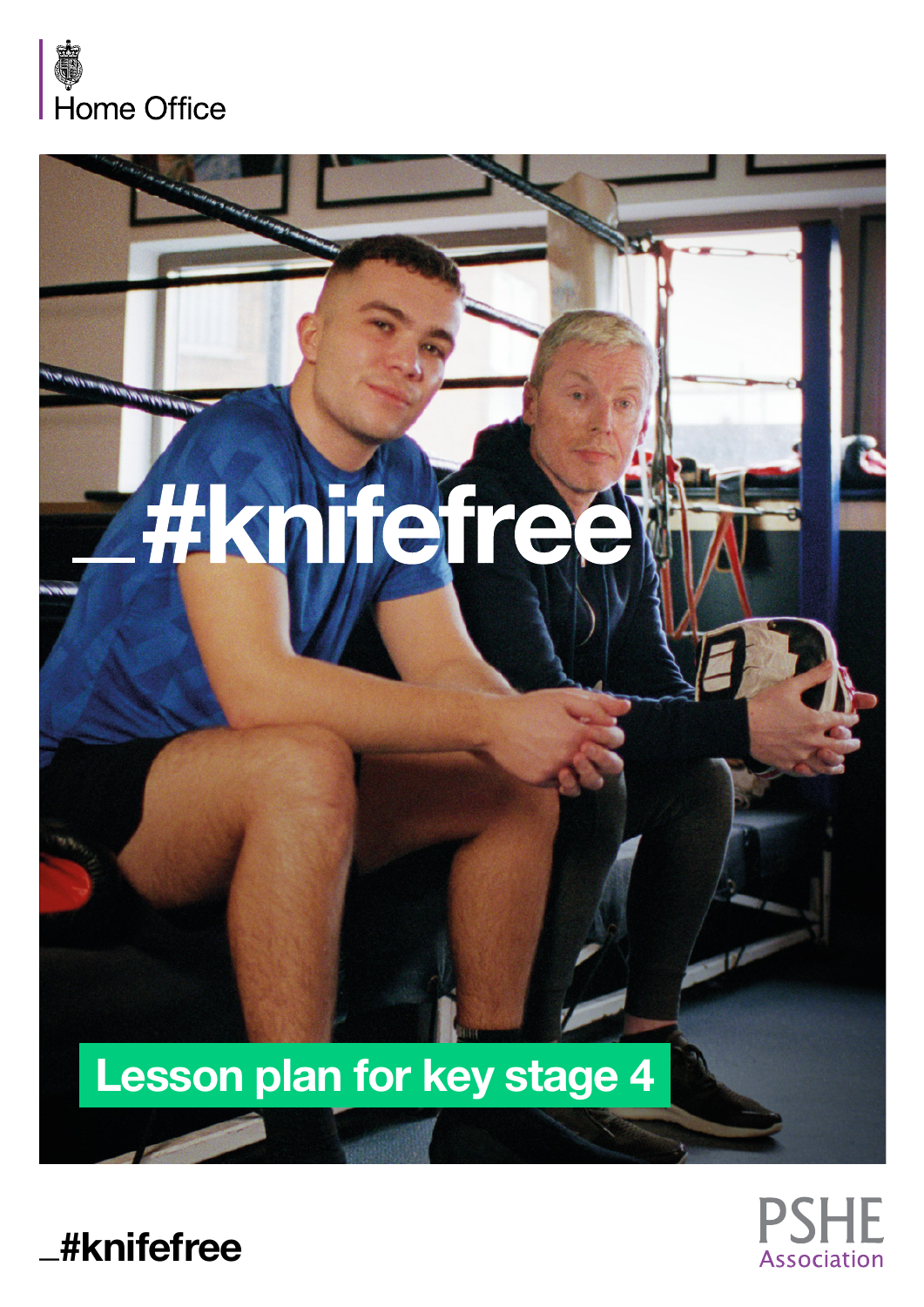

# **Hajfeire**

# Lesson plan for key stage 4



**\_#knifefree**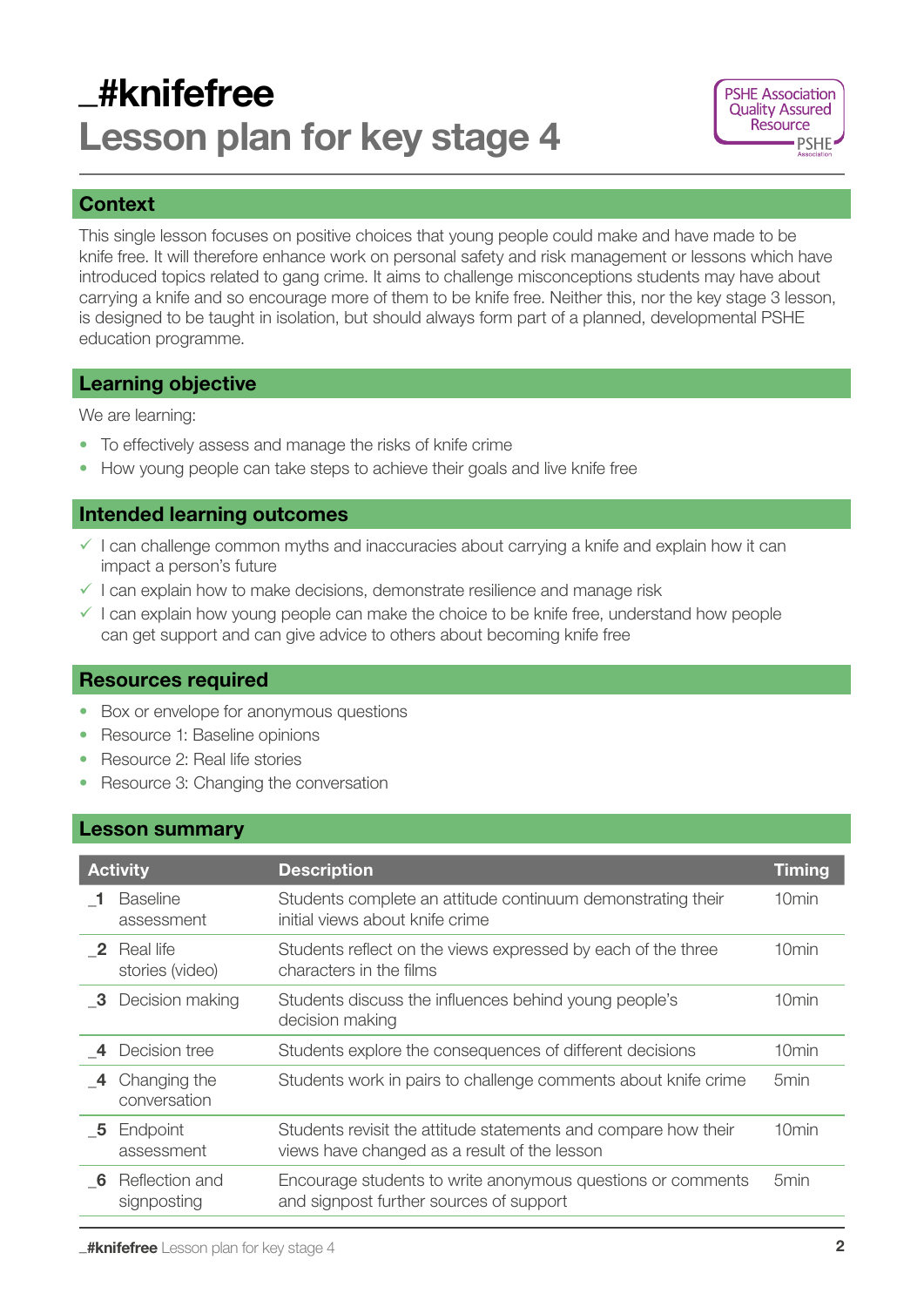## \_#knifefree Lesson plan for key stage 4



#### **Context**

This single lesson focuses on positive choices that young people could make and have made to be knife free. It will therefore enhance work on personal safety and risk management or lessons which have introduced topics related to gang crime. It aims to challenge misconceptions students may have about carrying a knife and so encourage more of them to be knife free. Neither this, nor the key stage 3 lesson, is designed to be taught in isolation, but should always form part of a planned, developmental PSHE education programme.

#### Learning objective

We are learning:

- To effectively assess and manage the risks of knife crime
- How young people can take steps to achieve their goals and live knife free

#### Intended learning outcomes

- $\checkmark$  I can challenge common myths and inaccuracies about carrying a knife and explain how it can impact a person's future
- $\checkmark$  I can explain how to make decisions, demonstrate resilience and manage risk
- $\checkmark$  I can explain how young people can make the choice to be knife free, understand how people can get support and can give advice to others about becoming knife free

#### Resources required

- Box or envelope for anonymous questions
- Resource 1: Baseline opinions
- Resource 2: Real life stories
- Resource 3: Changing the conversation

#### Lesson summary

| <b>Activity</b>         |                               | <b>Description</b>                                                                                             | <b>Timing</b>     |
|-------------------------|-------------------------------|----------------------------------------------------------------------------------------------------------------|-------------------|
|                         | <b>Baseline</b><br>assessment | Students complete an attitude continuum demonstrating their<br>initial views about knife crime                 | 10 <sub>min</sub> |
| $\overline{\mathbf{2}}$ | Real life<br>stories (video)  | Students reflect on the views expressed by each of the three<br>characters in the films                        | 10 <sub>min</sub> |
| - 3                     | Decision making               | Students discuss the influences behind young people's<br>decision making                                       | 10 <sub>min</sub> |
|                         | Decision tree                 | Students explore the consequences of different decisions                                                       | 10min             |
| -4                      | Changing the<br>conversation  | Students work in pairs to challenge comments about knife crime                                                 | 5 <sub>min</sub>  |
| - 5                     | Endpoint<br>assessment        | Students revisit the attitude statements and compare how their<br>views have changed as a result of the lesson | 10min             |
| - 6                     | Reflection and<br>signposting | Encourage students to write anonymous questions or comments<br>and signpost further sources of support         | 5min              |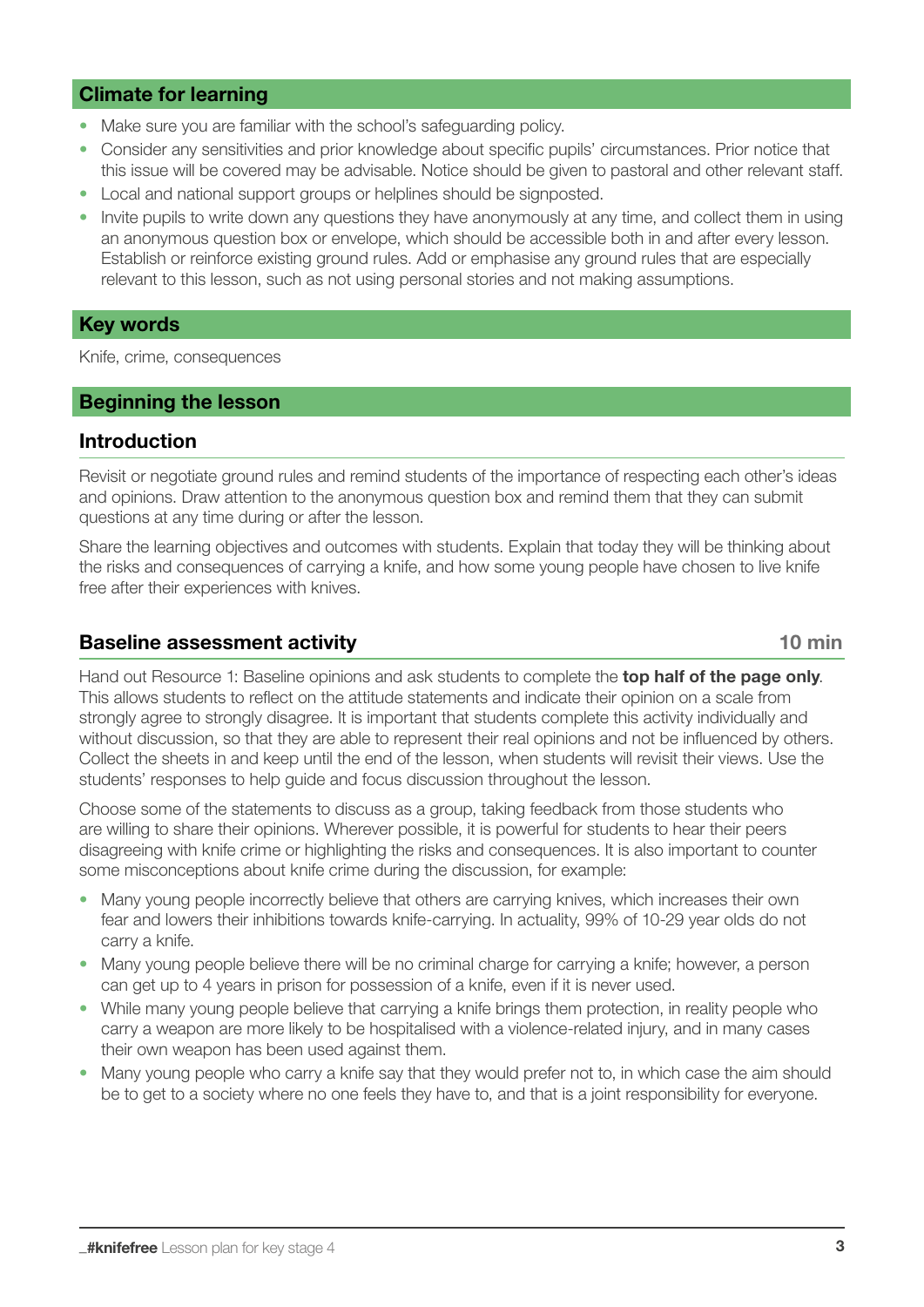#### Climate for learning

- Make sure you are familiar with the school's safeguarding policy.
- Consider any sensitivities and prior knowledge about specific pupils' circumstances. Prior notice that this issue will be covered may be advisable. Notice should be given to pastoral and other relevant staff.
- Local and national support groups or helplines should be signposted.
- Invite pupils to write down any questions they have anonymously at any time, and collect them in using an anonymous question box or envelope, which should be accessible both in and after every lesson. Establish or reinforce existing ground rules. Add or emphasise any ground rules that are especially relevant to this lesson, such as not using personal stories and not making assumptions.

#### Key words

Knife, crime, consequences

#### Beginning the lesson

#### Introduction

Revisit or negotiate ground rules and remind students of the importance of respecting each other's ideas and opinions. Draw attention to the anonymous question box and remind them that they can submit questions at any time during or after the lesson.

Share the learning objectives and outcomes with students. Explain that today they will be thinking about the risks and consequences of carrying a knife, and how some young people have chosen to live knife free after their experiences with knives.

#### Baseline assessment activity and the state of the state of the 10 min

Hand out Resource 1: Baseline opinions and ask students to complete the **top half of the page only.** This allows students to reflect on the attitude statements and indicate their opinion on a scale from strongly agree to strongly disagree. It is important that students complete this activity individually and without discussion, so that they are able to represent their real opinions and not be influenced by others. Collect the sheets in and keep until the end of the lesson, when students will revisit their views. Use the students' responses to help guide and focus discussion throughout the lesson.

Choose some of the statements to discuss as a group, taking feedback from those students who are willing to share their opinions. Wherever possible, it is powerful for students to hear their peers disagreeing with knife crime or highlighting the risks and consequences. It is also important to counter some misconceptions about knife crime during the discussion, for example:

- Many young people incorrectly believe that others are carrying knives, which increases their own fear and lowers their inhibitions towards knife-carrying. In actuality, 99% of 10-29 year olds do not carry a knife.
- Many young people believe there will be no criminal charge for carrying a knife; however, a person can get up to 4 years in prison for possession of a knife, even if it is never used.
- While many young people believe that carrying a knife brings them protection, in reality people who carry a weapon are more likely to be hospitalised with a violence-related injury, and in many cases their own weapon has been used against them.
- Many young people who carry a knife say that they would prefer not to, in which case the aim should be to get to a society where no one feels they have to, and that is a joint responsibility for everyone.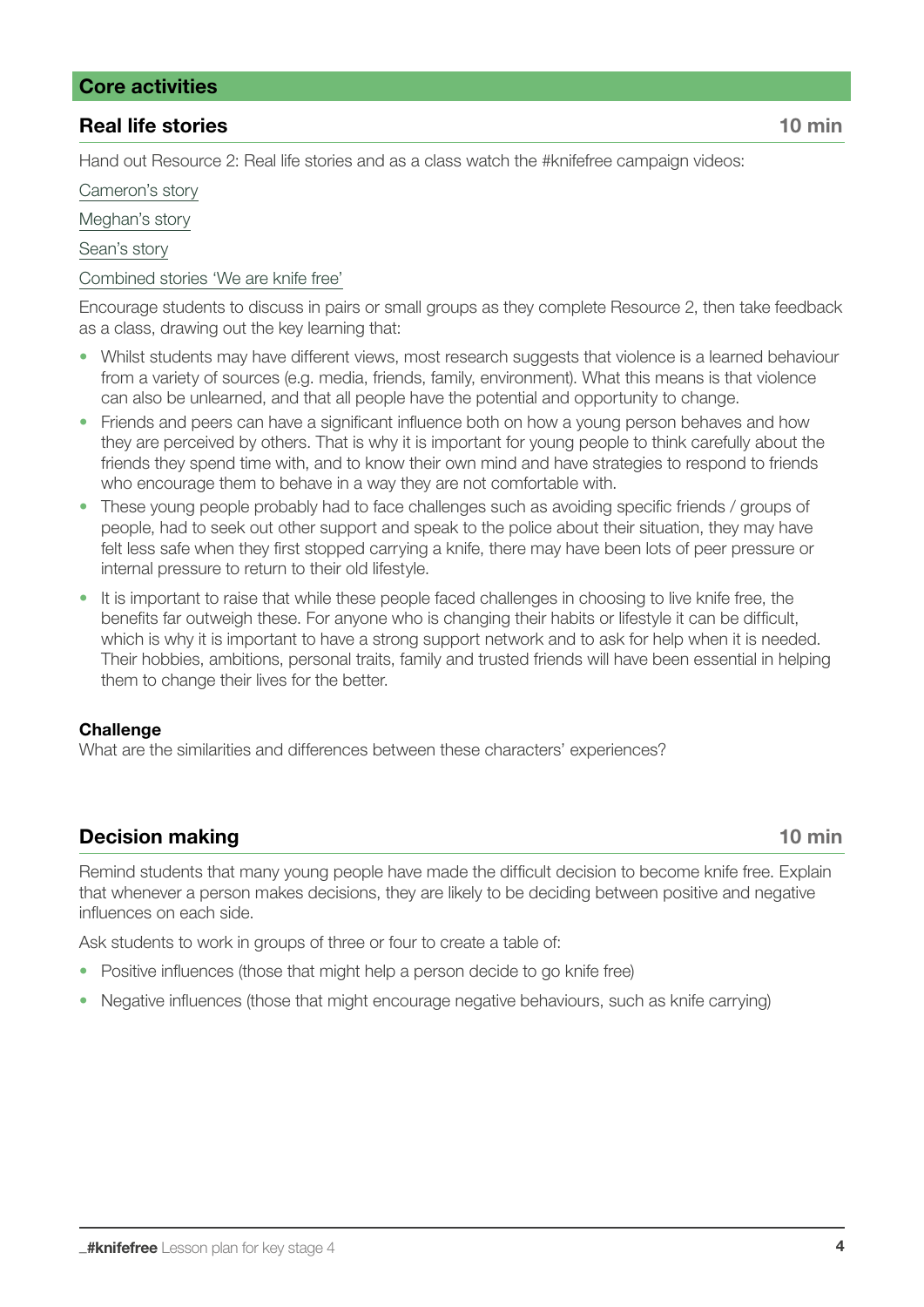#### Core activities

#### **Real life stories 10 minutes 10 minutes 10 minutes and 20 minutes 10 minutes and 20 minutes and 20 minutes and 20 minutes and 20 minutes and 20 minutes and 20 minutes and 20 minutes and 20 minutes and 20 minutes and 20 mi**

Hand out Resource 2: Real life stories and as a class watch the #knifefree campaign videos:

[Cameron's story](https://www.knifefree.co.uk/story/_cameron/)

[Meghan's story](https://www.knifefree.co.uk/story/_meghan/)

[Sean's story](https://www.knifefree.co.uk/story/_meghan/)

#### [Combined stories 'We are knife free'](https://www.knifefree.co.uk/story/weare_knifefree/)

Encourage students to discuss in pairs or small groups as they complete Resource 2, then take feedback as a class, drawing out the key learning that:

- Whilst students may have different views, most research suggests that violence is a learned behaviour from a variety of sources (e.g. media, friends, family, environment). What this means is that violence can also be unlearned, and that all people have the potential and opportunity to change.
- Friends and peers can have a significant influence both on how a young person behaves and how they are perceived by others. That is why it is important for young people to think carefully about the friends they spend time with, and to know their own mind and have strategies to respond to friends who encourage them to behave in a way they are not comfortable with.
- These young people probably had to face challenges such as avoiding specific friends / groups of people, had to seek out other support and speak to the police about their situation, they may have felt less safe when they first stopped carrying a knife, there may have been lots of peer pressure or internal pressure to return to their old lifestyle.
- It is important to raise that while these people faced challenges in choosing to live knife free, the benefits far outweigh these. For anyone who is changing their habits or lifestyle it can be difficult, which is why it is important to have a strong support network and to ask for help when it is needed. Their hobbies, ambitions, personal traits, family and trusted friends will have been essential in helping them to change their lives for the better.

#### **Challenge**

What are the similarities and differences between these characters' experiences?

#### **Decision making 10 min**

Remind students that many young people have made the difficult decision to become knife free. Explain that whenever a person makes decisions, they are likely to be deciding between positive and negative influences on each side.

Ask students to work in groups of three or four to create a table of:

- Positive influences (those that might help a person decide to go knife free)
- Negative influences (those that might encourage negative behaviours, such as knife carrying)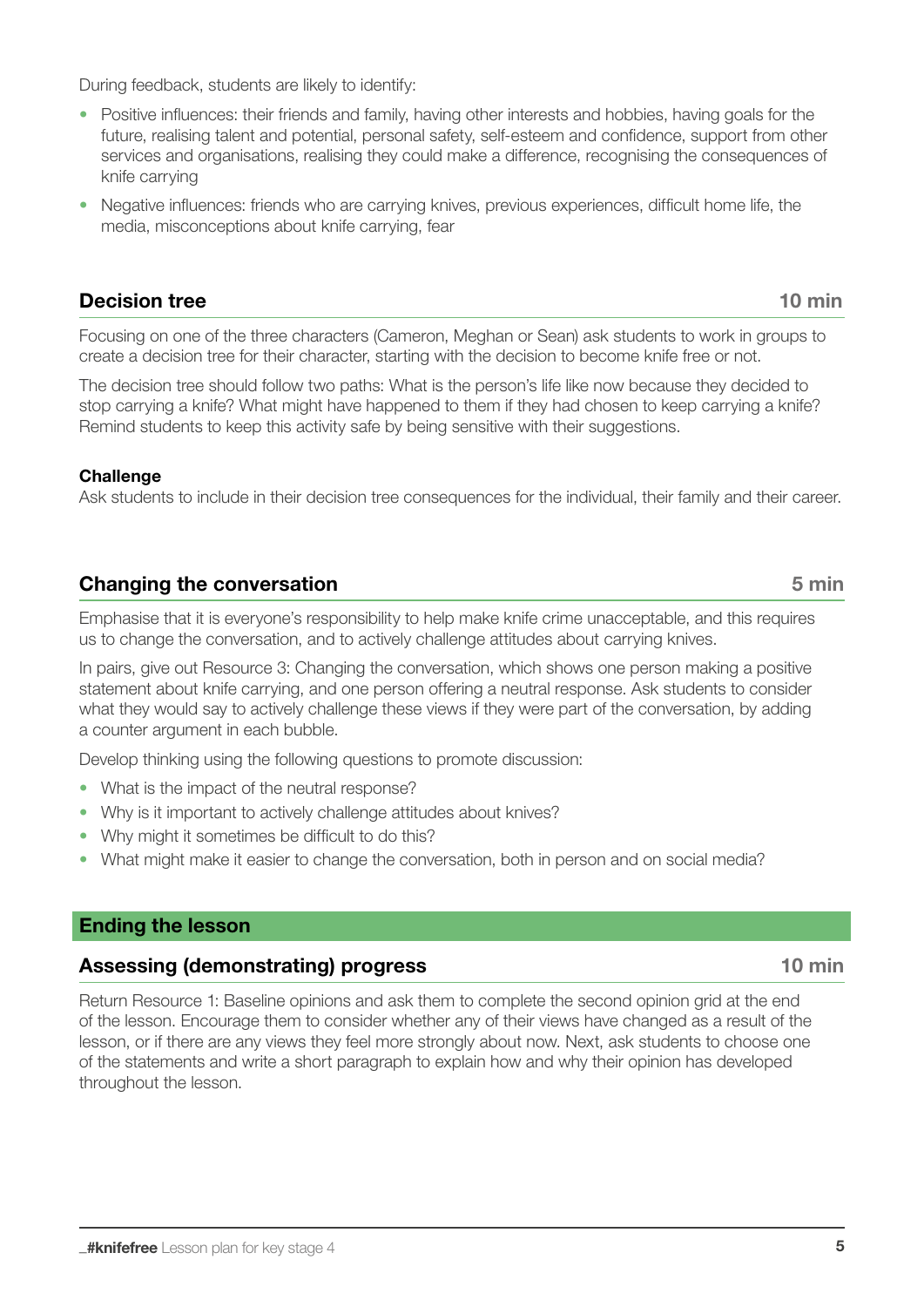During feedback, students are likely to identify:

- Positive influences: their friends and family, having other interests and hobbies, having goals for the future, realising talent and potential, personal safety, self-esteem and confidence, support from other services and organisations, realising they could make a difference, recognising the consequences of knife carrying
- Negative influences: friends who are carrying knives, previous experiences, difficult home life, the media, misconceptions about knife carrying, fear

#### **Decision tree** 10 min

Focusing on one of the three characters (Cameron, Meghan or Sean) ask students to work in groups to create a decision tree for their character, starting with the decision to become knife free or not.

The decision tree should follow two paths: What is the person's life like now because they decided to stop carrying a knife? What might have happened to them if they had chosen to keep carrying a knife? Remind students to keep this activity safe by being sensitive with their suggestions.

#### **Challenge**

Ask students to include in their decision tree consequences for the individual, their family and their career.

#### **Changing the conversation** 6 min

Emphasise that it is everyone's responsibility to help make knife crime unacceptable, and this requires us to change the conversation, and to actively challenge attitudes about carrying knives.

In pairs, give out Resource 3: Changing the conversation, which shows one person making a positive statement about knife carrying, and one person offering a neutral response. Ask students to consider what they would say to actively challenge these views if they were part of the conversation, by adding a counter argument in each bubble.

Develop thinking using the following questions to promote discussion:

- What is the impact of the neutral response?
- Why is it important to actively challenge attitudes about knives?
- Why might it sometimes be difficult to do this?
- What might make it easier to change the conversation, both in person and on social media?

#### Ending the lesson

#### Assessing (demonstrating) progress 10 min

Return Resource 1: Baseline opinions and ask them to complete the second opinion grid at the end of the lesson. Encourage them to consider whether any of their views have changed as a result of the lesson, or if there are any views they feel more strongly about now. Next, ask students to choose one of the statements and write a short paragraph to explain how and why their opinion has developed throughout the lesson.